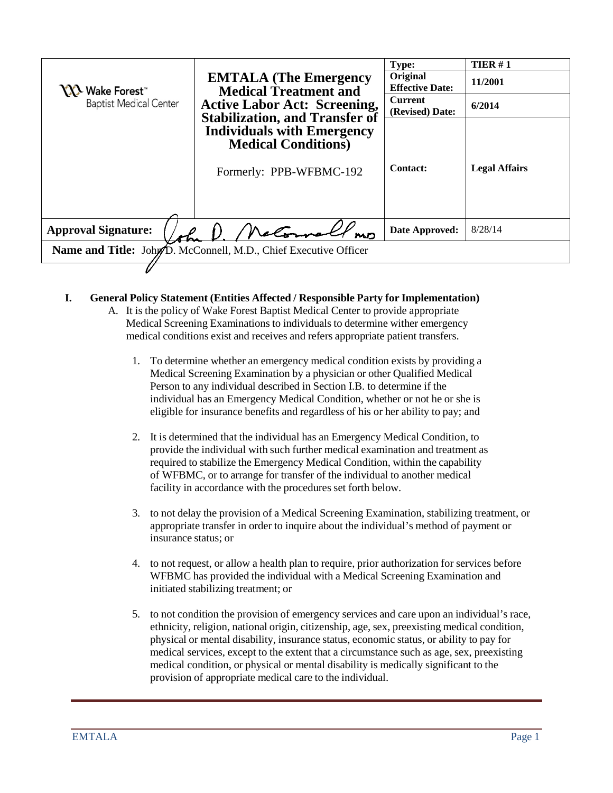|                                                                  |                                                                                                           | <b>Type:</b><br>Original                                    | TIER $#1$            |
|------------------------------------------------------------------|-----------------------------------------------------------------------------------------------------------|-------------------------------------------------------------|----------------------|
| <b>YXX</b> Wake Forest                                           | <b>EMTALA</b> (The Emergency                                                                              |                                                             | 11/2001              |
| <b>Baptist Medical Center</b>                                    | <b>Medical Treatment and</b><br><b>Active Labor Act: Screening,</b>                                       | <b>Effective Date:</b><br><b>Current</b><br>(Revised) Date: | 6/2014               |
|                                                                  | <b>Stabilization, and Transfer of</b><br><b>Individuals with Emergency</b><br><b>Medical Conditions</b> ) |                                                             |                      |
|                                                                  | Formerly: PPB-WFBMC-192                                                                                   | <b>Contact:</b>                                             | <b>Legal Affairs</b> |
|                                                                  |                                                                                                           |                                                             |                      |
| <b>Approval Signature:</b>                                       | Ler                                                                                                       | Date Approved:                                              | 8/28/14              |
| Name and Title: Johy D. McConnell, M.D., Chief Executive Officer |                                                                                                           |                                                             |                      |
|                                                                  |                                                                                                           |                                                             |                      |

#### **I. General Policy Statement (Entities Affected / Responsible Party for Implementation)**

- A. It is the policy of Wake Forest Baptist Medical Center to provide appropriate Medical Screening Examinations to individuals to determine wither emergency medical conditions exist and receives and refers appropriate patient transfers.
	- 1. To determine whether an emergency medical condition exists by providing a Medical Screening Examination by a physician or other Qualified Medical Person to any individual described in Section I.B. to determine if the individual has an Emergency Medical Condition, whether or not he or she is eligible for insurance benefits and regardless of his or her ability to pay; and
	- 2. It is determined that the individual has an Emergency Medical Condition, to provide the individual with such further medical examination and treatment as required to stabilize the Emergency Medical Condition, within the capability of WFBMC, or to arrange for transfer of the individual to another medical facility in accordance with the procedures set forth below.
	- 3. to not delay the provision of a Medical Screening Examination, stabilizing treatment, or appropriate transfer in order to inquire about the individual's method of payment or insurance status; or
	- 4. to not request, or allow a health plan to require, prior authorization for services before WFBMC has provided the individual with a Medical Screening Examination and initiated stabilizing treatment; or
	- 5. to not condition the provision of emergency services and care upon an individual's race, ethnicity, religion, national origin, citizenship, age, sex, preexisting medical condition, physical or mental disability, insurance status, economic status, or ability to pay for medical services, except to the extent that a circumstance such as age, sex, preexisting medical condition, or physical or mental disability is medically significant to the provision of appropriate medical care to the individual.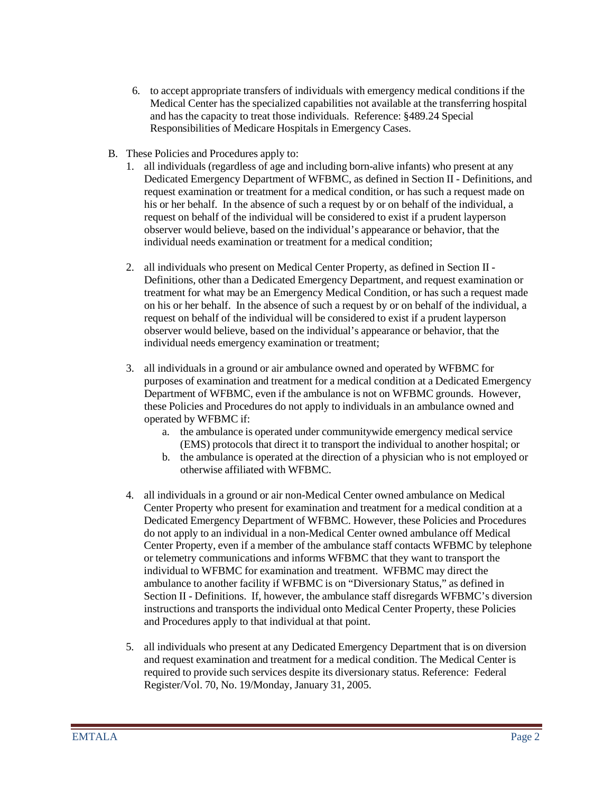- 6. to accept appropriate transfers of individuals with emergency medical conditions if the Medical Center has the specialized capabilities not available at the transferring hospital and has the capacity to treat those individuals. Reference: §489.24 Special Responsibilities of Medicare Hospitals in Emergency Cases.
- B. These Policies and Procedures apply to:
	- 1. all individuals (regardless of age and including born-alive infants) who present at any Dedicated Emergency Department of WFBMC, as defined in Section II - Definitions, and request examination or treatment for a medical condition, or has such a request made on his or her behalf. In the absence of such a request by or on behalf of the individual, a request on behalf of the individual will be considered to exist if a prudent layperson observer would believe, based on the individual's appearance or behavior, that the individual needs examination or treatment for a medical condition;
	- 2. all individuals who present on Medical Center Property, as defined in Section II Definitions, other than a Dedicated Emergency Department, and request examination or treatment for what may be an Emergency Medical Condition, or has such a request made on his or her behalf. In the absence of such a request by or on behalf of the individual, a request on behalf of the individual will be considered to exist if a prudent layperson observer would believe, based on the individual's appearance or behavior, that the individual needs emergency examination or treatment;
	- 3. all individuals in a ground or air ambulance owned and operated by WFBMC for purposes of examination and treatment for a medical condition at a Dedicated Emergency Department of WFBMC, even if the ambulance is not on WFBMC grounds. However, these Policies and Procedures do not apply to individuals in an ambulance owned and operated by WFBMC if:
		- a. the ambulance is operated under communitywide emergency medical service (EMS) protocols that direct it to transport the individual to another hospital; or
		- b. the ambulance is operated at the direction of a physician who is not employed or otherwise affiliated with WFBMC.
	- 4. all individuals in a ground or air non-Medical Center owned ambulance on Medical Center Property who present for examination and treatment for a medical condition at a Dedicated Emergency Department of WFBMC. However, these Policies and Procedures do not apply to an individual in a non-Medical Center owned ambulance off Medical Center Property, even if a member of the ambulance staff contacts WFBMC by telephone or telemetry communications and informs WFBMC that they want to transport the individual to WFBMC for examination and treatment. WFBMC may direct the ambulance to another facility if WFBMC is on "Diversionary Status," as defined in Section II - Definitions. If, however, the ambulance staff disregards WFBMC's diversion instructions and transports the individual onto Medical Center Property, these Policies and Procedures apply to that individual at that point.
	- 5. all individuals who present at any Dedicated Emergency Department that is on diversion and request examination and treatment for a medical condition. The Medical Center is required to provide such services despite its diversionary status. Reference: Federal Register/Vol. 70, No. 19/Monday, January 31, 2005.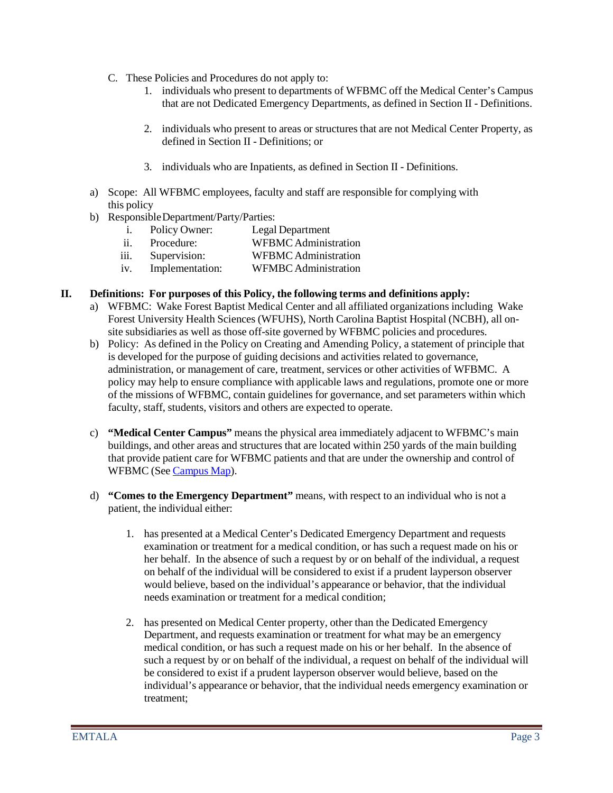- C. These Policies and Procedures do not apply to:
	- 1. individuals who present to departments of WFBMC off the Medical Center's Campus that are not Dedicated Emergency Departments, as defined in Section II - Definitions.
	- 2. individuals who present to areas or structures that are not Medical Center Property, as defined in Section II - Definitions; or
	- 3. individuals who are Inpatients, as defined in Section II Definitions.
- a) Scope: All WFBMC employees, faculty and staff are responsible for complying with this policy
- b) ResponsibleDepartment/Party/Parties:
	- i. Policy Owner: Legal Department<br>ii. Procedure: WFBMC Adminis
	- ii. Procedure: WFBMC Administration
	- iii. Supervision: WFBMC Administration
	- iv. Implementation: WFMBC Administration
- **II. Definitions: For purposes of this Policy, the following terms and definitions apply:**
	- a) WFBMC: Wake Forest Baptist Medical Center and all affiliated organizations including Wake Forest University Health Sciences (WFUHS), North Carolina Baptist Hospital (NCBH), all onsite subsidiaries as well as those off-site governed by WFBMC policies and procedures.
	- b) Policy: As defined in the Policy on Creating and Amending Policy, a statement of principle that is developed for the purpose of guiding decisions and activities related to governance, administration, or management of care, treatment, services or other activities of WFBMC. A policy may help to ensure compliance with applicable laws and regulations, promote one or more of the missions of WFBMC, contain guidelines for governance, and set parameters within which faculty, staff, students, visitors and others are expected to operate.
	- c) **"Medical Center Campus"** means the physical area immediately adjacent to WFBMC's main buildings, and other areas and structures that are located within 250 yards of the main building that provide patient care for WFBMC patients and that are under the ownership and control of WFBMC (See [Campus](http://www.wakehealth.edu/uploadedFiles/User_Content/PatientsAndVisitors/Documents/WFBMC%20Campus%20Map.pdf) Map).
	- d) **"Comes to the Emergency Department"** means, with respect to an individual who is not a patient, the individual either:
		- 1. has presented at a Medical Center's Dedicated Emergency Department and requests examination or treatment for a medical condition, or has such a request made on his or her behalf. In the absence of such a request by or on behalf of the individual, a request on behalf of the individual will be considered to exist if a prudent layperson observer would believe, based on the individual's appearance or behavior, that the individual needs examination or treatment for a medical condition;
		- 2. has presented on Medical Center property, other than the Dedicated Emergency Department, and requests examination or treatment for what may be an emergency medical condition, or has such a request made on his or her behalf. In the absence of such a request by or on behalf of the individual, a request on behalf of the individual will be considered to exist if a prudent layperson observer would believe, based on the individual's appearance or behavior, that the individual needs emergency examination or treatment;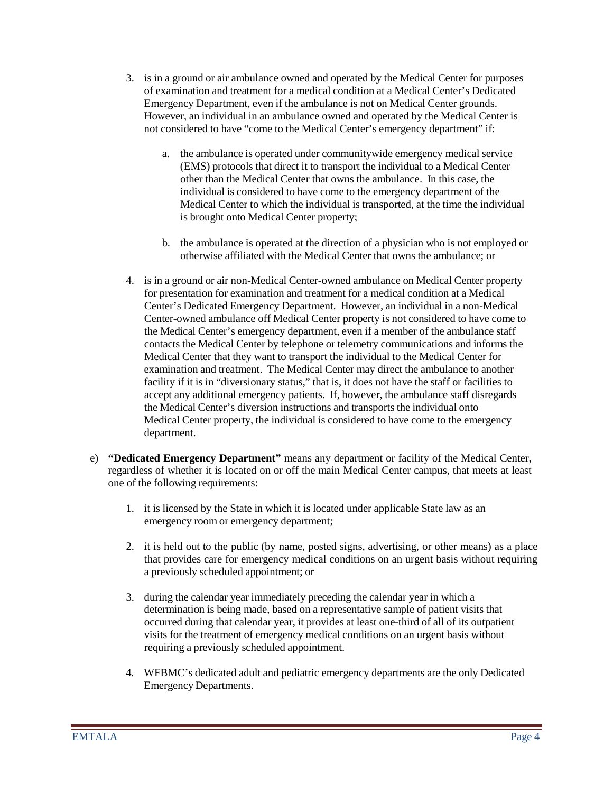- 3. is in a ground or air ambulance owned and operated by the Medical Center for purposes of examination and treatment for a medical condition at a Medical Center's Dedicated Emergency Department, even if the ambulance is not on Medical Center grounds. However, an individual in an ambulance owned and operated by the Medical Center is not considered to have "come to the Medical Center's emergency department" if:
	- a. the ambulance is operated under communitywide emergency medical service (EMS) protocols that direct it to transport the individual to a Medical Center other than the Medical Center that owns the ambulance. In this case, the individual is considered to have come to the emergency department of the Medical Center to which the individual is transported, at the time the individual is brought onto Medical Center property;
	- b. the ambulance is operated at the direction of a physician who is not employed or otherwise affiliated with the Medical Center that owns the ambulance; or
- 4. is in a ground or air non-Medical Center-owned ambulance on Medical Center property for presentation for examination and treatment for a medical condition at a Medical Center's Dedicated Emergency Department. However, an individual in a non-Medical Center-owned ambulance off Medical Center property is not considered to have come to the Medical Center's emergency department, even if a member of the ambulance staff contacts the Medical Center by telephone or telemetry communications and informs the Medical Center that they want to transport the individual to the Medical Center for examination and treatment. The Medical Center may direct the ambulance to another facility if it is in "diversionary status," that is, it does not have the staff or facilities to accept any additional emergency patients. If, however, the ambulance staff disregards the Medical Center's diversion instructions and transports the individual onto Medical Center property, the individual is considered to have come to the emergency department.
- e) **"Dedicated Emergency Department"** means any department or facility of the Medical Center, regardless of whether it is located on or off the main Medical Center campus, that meets at least one of the following requirements:
	- 1. it is licensed by the State in which it is located under applicable State law as an emergency room or emergency department;
	- 2. it is held out to the public (by name, posted signs, advertising, or other means) as a place that provides care for emergency medical conditions on an urgent basis without requiring a previously scheduled appointment; or
	- 3. during the calendar year immediately preceding the calendar year in which a determination is being made, based on a representative sample of patient visits that occurred during that calendar year, it provides at least one-third of all of its outpatient visits for the treatment of emergency medical conditions on an urgent basis without requiring a previously scheduled appointment.
	- 4. WFBMC's dedicated adult and pediatric emergency departments are the only Dedicated Emergency Departments.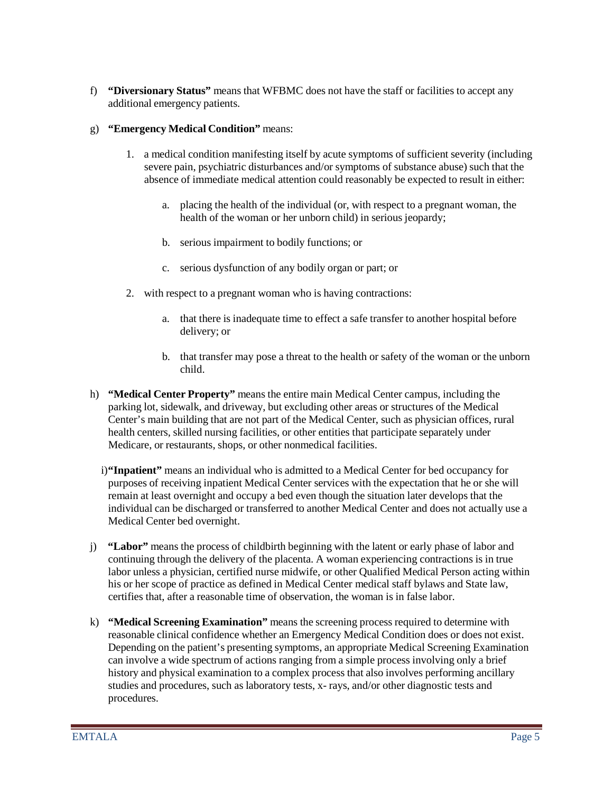- f) **"Diversionary Status"** means that WFBMC does not have the staff or facilities to accept any additional emergency patients.
- g) **"Emergency Medical Condition"** means:
	- 1. a medical condition manifesting itself by acute symptoms of sufficient severity (including severe pain, psychiatric disturbances and/or symptoms of substance abuse) such that the absence of immediate medical attention could reasonably be expected to result in either:
		- a. placing the health of the individual (or, with respect to a pregnant woman, the health of the woman or her unborn child) in serious jeopardy;
		- b. serious impairment to bodily functions; or
		- c. serious dysfunction of any bodily organ or part; or
	- 2. with respect to a pregnant woman who is having contractions:
		- a. that there is inadequate time to effect a safe transfer to another hospital before delivery; or
		- b. that transfer may pose a threat to the health or safety of the woman or the unborn child.
- h) **"Medical Center Property"** means the entire main Medical Center campus, including the parking lot, sidewalk, and driveway, but excluding other areas or structures of the Medical Center's main building that are not part of the Medical Center, such as physician offices, rural health centers, skilled nursing facilities, or other entities that participate separately under Medicare, or restaurants, shops, or other nonmedical facilities.
	- i)**"Inpatient"** means an individual who is admitted to a Medical Center for bed occupancy for purposes of receiving inpatient Medical Center services with the expectation that he or she will remain at least overnight and occupy a bed even though the situation later develops that the individual can be discharged or transferred to another Medical Center and does not actually use a Medical Center bed overnight.
- j) **"Labor"** means the process of childbirth beginning with the latent or early phase of labor and continuing through the delivery of the placenta. A woman experiencing contractions is in true labor unless a physician, certified nurse midwife, or other Qualified Medical Person acting within his or her scope of practice as defined in Medical Center medical staff bylaws and State law, certifies that, after a reasonable time of observation, the woman is in false labor.
- k) **"Medical Screening Examination"** means the screening process required to determine with reasonable clinical confidence whether an Emergency Medical Condition does or does not exist. Depending on the patient's presenting symptoms, an appropriate Medical Screening Examination can involve a wide spectrum of actions ranging from a simple process involving only a brief history and physical examination to a complex process that also involves performing ancillary studies and procedures, such as laboratory tests, x- rays, and/or other diagnostic tests and procedures.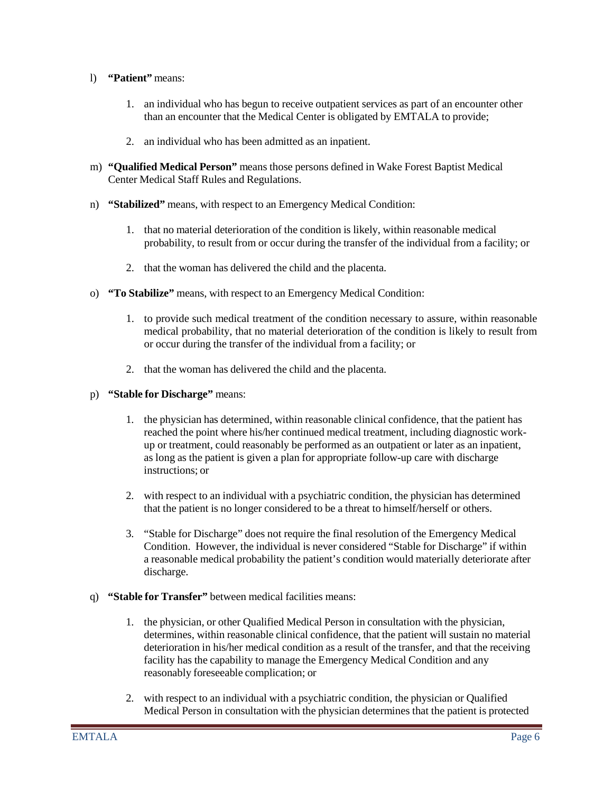#### l) **"Patient"** means:

- 1. an individual who has begun to receive outpatient services as part of an encounter other than an encounter that the Medical Center is obligated by EMTALA to provide;
- 2. an individual who has been admitted as an inpatient.
- m) **"Qualified Medical Person"** means those persons defined in Wake Forest Baptist Medical Center Medical Staff Rules and Regulations.
- n) **"Stabilized"** means, with respect to an Emergency Medical Condition:
	- 1. that no material deterioration of the condition is likely, within reasonable medical probability, to result from or occur during the transfer of the individual from a facility; or
	- 2. that the woman has delivered the child and the placenta.
- o) **"To Stabilize"** means, with respect to an Emergency Medical Condition:
	- 1. to provide such medical treatment of the condition necessary to assure, within reasonable medical probability, that no material deterioration of the condition is likely to result from or occur during the transfer of the individual from a facility; or
	- 2. that the woman has delivered the child and the placenta.
- p) **"Stable for Discharge"** means:
	- 1. the physician has determined, within reasonable clinical confidence, that the patient has reached the point where his/her continued medical treatment, including diagnostic workup or treatment, could reasonably be performed as an outpatient or later as an inpatient, as long as the patient is given a plan for appropriate follow-up care with discharge instructions; or
	- 2. with respect to an individual with a psychiatric condition, the physician has determined that the patient is no longer considered to be a threat to himself/herself or others.
	- 3. "Stable for Discharge" does not require the final resolution of the Emergency Medical Condition. However, the individual is never considered "Stable for Discharge" if within a reasonable medical probability the patient's condition would materially deteriorate after discharge.
- q) **"Stable for Transfer"** between medical facilities means:
	- 1. the physician, or other Qualified Medical Person in consultation with the physician, determines, within reasonable clinical confidence, that the patient will sustain no material deterioration in his/her medical condition as a result of the transfer, and that the receiving facility has the capability to manage the Emergency Medical Condition and any reasonably foreseeable complication; or
	- 2. with respect to an individual with a psychiatric condition, the physician or Qualified Medical Person in consultation with the physician determines that the patient is protected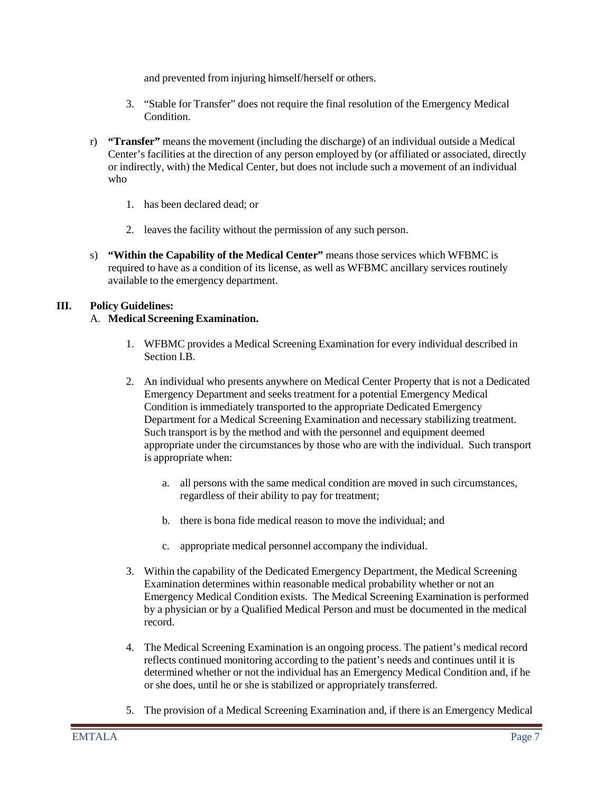and prevented from injuring himself/herself or others.

- 3. "Stable for Transfer" does not require the final resolution of the Emergency Medical Condition.
- r) **"Transfer"** means the movement (including the discharge) of an individual outside a Medical Center's facilities at the direction of any person employed by (or affiliated or associated, directly or indirectly, with) the Medical Center, but does not include such a movement of an individual who
	- 1. has been declared dead; or
	- 2. leaves the facility without the permission of any such person.
- s) **"Within the Capability of the Medical Center"** means those services which WFBMC is required to have as a condition of its license, as well as WFBMC ancillary services routinely available to the emergency department.

## **III. Policy Guidelines:**

## A. **Medical Screening Examination.**

- 1. WFBMC provides a Medical Screening Examination for every individual described in Section I.B.
- 2. An individual who presents anywhere on Medical Center Property that is not a Dedicated Emergency Department and seeks treatment for a potential Emergency Medical Condition is immediately transported to the appropriate Dedicated Emergency Department for a Medical Screening Examination and necessary stabilizing treatment. Such transport is by the method and with the personnel and equipment deemed appropriate under the circumstances by those who are with the individual. Such transport is appropriate when:
	- a. all persons with the same medical condition are moved in such circumstances, regardless of their ability to pay for treatment;
	- b. there is bona fide medical reason to move the individual; and
	- c. appropriate medical personnel accompany the individual.
- 3. Within the capability of the Dedicated Emergency Department, the Medical Screening Examination determines within reasonable medical probability whether or not an Emergency Medical Condition exists. The Medical Screening Examination is performed by a physician or by a Qualified Medical Person and must be documented in the medical record.
- 4. The Medical Screening Examination is an ongoing process. The patient's medical record reflects continued monitoring according to the patient's needs and continues until it is determined whether or not the individual has an Emergency Medical Condition and, if he or she does, until he or she is stabilized or appropriately transferred.
- 5. The provision of a Medical Screening Examination and, if there is an Emergency Medical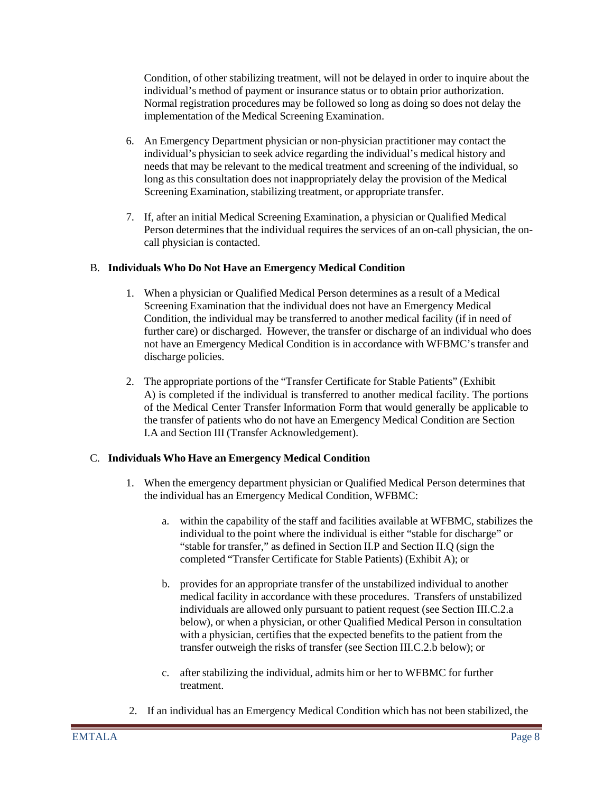Condition, of other stabilizing treatment, will not be delayed in order to inquire about the individual's method of payment or insurance status or to obtain prior authorization. Normal registration procedures may be followed so long as doing so does not delay the implementation of the Medical Screening Examination.

- 6. An Emergency Department physician or non-physician practitioner may contact the individual's physician to seek advice regarding the individual's medical history and needs that may be relevant to the medical treatment and screening of the individual, so long as this consultation does not inappropriately delay the provision of the Medical Screening Examination, stabilizing treatment, or appropriate transfer.
- 7. If, after an initial Medical Screening Examination, a physician or Qualified Medical Person determines that the individual requires the services of an on-call physician, the oncall physician is contacted.

#### B. **Individuals Who Do Not Have an Emergency Medical Condition**

- 1. When a physician or Qualified Medical Person determines as a result of a Medical Screening Examination that the individual does not have an Emergency Medical Condition, the individual may be transferred to another medical facility (if in need of further care) or discharged. However, the transfer or discharge of an individual who does not have an Emergency Medical Condition is in accordance with WFBMC's transfer and discharge policies.
- 2. The appropriate portions of the "Transfer Certificate for Stable Patients" (Exhibit A) is completed if the individual is transferred to another medical facility. The portions of the Medical Center Transfer Information Form that would generally be applicable to the transfer of patients who do not have an Emergency Medical Condition are Section I.A and Section III (Transfer Acknowledgement).

#### C. **Individuals Who Have an Emergency Medical Condition**

- 1. When the emergency department physician or Qualified Medical Person determines that the individual has an Emergency Medical Condition, WFBMC:
	- a. within the capability of the staff and facilities available at WFBMC, stabilizes the individual to the point where the individual is either "stable for discharge" or "stable for transfer," as defined in Section II.P and Section II.Q (sign the completed "Transfer Certificate for Stable Patients) (Exhibit A); or
	- b. provides for an appropriate transfer of the unstabilized individual to another medical facility in accordance with these procedures. Transfers of unstabilized individuals are allowed only pursuant to patient request (see Section III.C.2.a below), or when a physician, or other Qualified Medical Person in consultation with a physician, certifies that the expected benefits to the patient from the transfer outweigh the risks of transfer (see Section III.C.2.b below); or
	- c. after stabilizing the individual, admits him or her to WFBMC for further treatment.
- 2. If an individual has an Emergency Medical Condition which has not been stabilized, the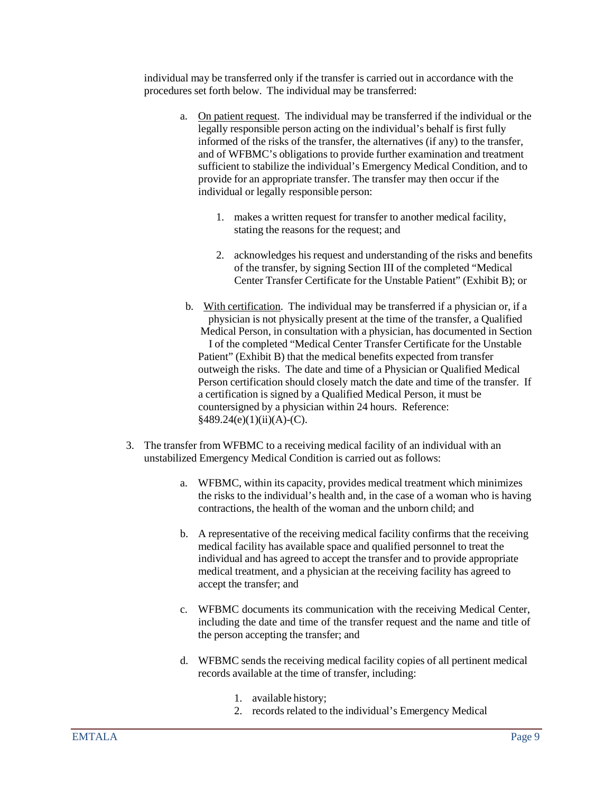individual may be transferred only if the transfer is carried out in accordance with the procedures set forth below. The individual may be transferred:

- a. On patient request. The individual may be transferred if the individual or the legally responsible person acting on the individual's behalf is first fully informed of the risks of the transfer, the alternatives (if any) to the transfer, and of WFBMC's obligations to provide further examination and treatment sufficient to stabilize the individual's Emergency Medical Condition, and to provide for an appropriate transfer. The transfer may then occur if the individual or legally responsible person:
	- 1. makes a written request for transfer to another medical facility, stating the reasons for the request; and
	- 2. acknowledges his request and understanding of the risks and benefits of the transfer, by signing Section III of the completed "Medical Center Transfer Certificate for the Unstable Patient" (Exhibit B); or
- b. With certification. The individual may be transferred if a physician or, if a physician is not physically present at the time of the transfer, a Qualified Medical Person, in consultation with a physician, has documented in Section I of the completed "Medical Center Transfer Certificate for the Unstable Patient" (Exhibit B) that the medical benefits expected from transfer outweigh the risks. The date and time of a Physician or Qualified Medical Person certification should closely match the date and time of the transfer. If a certification is signed by a Qualified Medical Person, it must be countersigned by a physician within 24 hours. Reference:  $§489.24(e)(1)(ii)(A)-(C).$
- 3. The transfer from WFBMC to a receiving medical facility of an individual with an unstabilized Emergency Medical Condition is carried out as follows:
	- a. WFBMC, within its capacity, provides medical treatment which minimizes the risks to the individual's health and, in the case of a woman who is having contractions, the health of the woman and the unborn child; and
	- b. A representative of the receiving medical facility confirms that the receiving medical facility has available space and qualified personnel to treat the individual and has agreed to accept the transfer and to provide appropriate medical treatment, and a physician at the receiving facility has agreed to accept the transfer; and
	- c. WFBMC documents its communication with the receiving Medical Center, including the date and time of the transfer request and the name and title of the person accepting the transfer; and
	- d. WFBMC sends the receiving medical facility copies of all pertinent medical records available at the time of transfer, including:
		- 1. available history;
		- 2. records related to the individual's Emergency Medical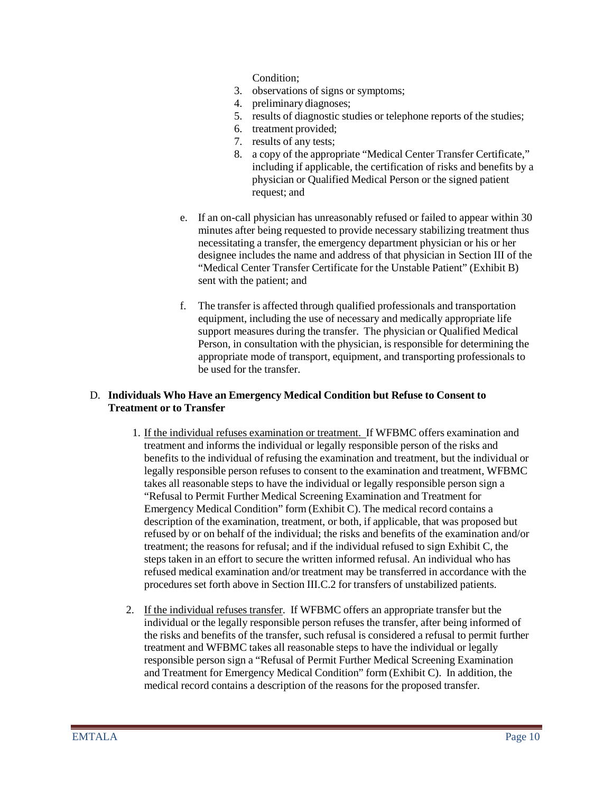Condition;

- 3. observations of signs or symptoms;
- 4. preliminary diagnoses;
- 5. results of diagnostic studies or telephone reports of the studies;
- 6. treatment provided;
- 7. results of any tests;
- 8. a copy of the appropriate "Medical Center Transfer Certificate," including if applicable, the certification of risks and benefits by a physician or Qualified Medical Person or the signed patient request; and
- e. If an on-call physician has unreasonably refused or failed to appear within 30 minutes after being requested to provide necessary stabilizing treatment thus necessitating a transfer, the emergency department physician or his or her designee includes the name and address of that physician in Section III of the "Medical Center Transfer Certificate for the Unstable Patient" (Exhibit B) sent with the patient; and
- f. The transfer is affected through qualified professionals and transportation equipment, including the use of necessary and medically appropriate life support measures during the transfer. The physician or Qualified Medical Person, in consultation with the physician, is responsible for determining the appropriate mode of transport, equipment, and transporting professionals to be used for the transfer.

#### D. **Individuals Who Have an Emergency Medical Condition but Refuse to Consent to Treatment or to Transfer**

- 1. If the individual refuses examination or treatment. If WFBMC offers examination and treatment and informs the individual or legally responsible person of the risks and benefits to the individual of refusing the examination and treatment, but the individual or legally responsible person refuses to consent to the examination and treatment, WFBMC takes all reasonable steps to have the individual or legally responsible person sign a "Refusal to Permit Further Medical Screening Examination and Treatment for Emergency Medical Condition" form (Exhibit C). The medical record contains a description of the examination, treatment, or both, if applicable, that was proposed but refused by or on behalf of the individual; the risks and benefits of the examination and/or treatment; the reasons for refusal; and if the individual refused to sign Exhibit C, the steps taken in an effort to secure the written informed refusal. An individual who has refused medical examination and/or treatment may be transferred in accordance with the procedures set forth above in Section III.C.2 for transfers of unstabilized patients.
- 2. If the individual refuses transfer. If WFBMC offers an appropriate transfer but the individual or the legally responsible person refuses the transfer, after being informed of the risks and benefits of the transfer, such refusal is considered a refusal to permit further treatment and WFBMC takes all reasonable steps to have the individual or legally responsible person sign a "Refusal of Permit Further Medical Screening Examination and Treatment for Emergency Medical Condition" form (Exhibit C). In addition, the medical record contains a description of the reasons for the proposed transfer.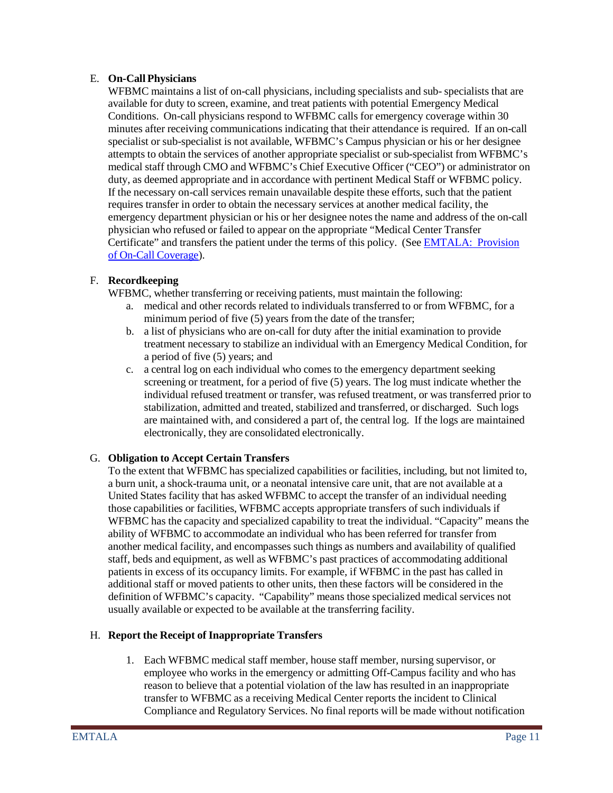#### E. **On-Call Physicians**

WFBMC maintains a list of on-call physicians, including specialists and sub- specialists that are available for duty to screen, examine, and treat patients with potential Emergency Medical Conditions. On-call physicians respond to WFBMC calls for emergency coverage within 30 minutes after receiving communications indicating that their attendance is required. If an on-call specialist or sub-specialist is not available, WFBMC's Campus physician or his or her designee attempts to obtain the services of another appropriate specialist or sub-specialist from WFBMC's medical staff through CMO and WFBMC's Chief Executive Officer ("CEO") or administrator on duty, as deemed appropriate and in accordance with pertinent Medical Staff or WFBMC policy. If the necessary on-call services remain unavailable despite these efforts, such that the patient requires transfer in order to obtain the necessary services at another medical facility, the emergency department physician or his or her designee notes the name and address of the on-call physician who refused or failed to appear on the appropriate "Medical Center Transfer Certificate" and transfers the patient under the terms of this policy. (See [EMTALA:](http://ishare.wakehealth.edu/GoverningPolicy/Policies/Provision%20of%20On-Call%20Coverage%2C%20EMTALA.pdf) Provision of On-Call [Coverage\)](http://ishare.wakehealth.edu/GoverningPolicy/Policies/Provision%20of%20On-Call%20Coverage%2C%20EMTALA.pdf).

## F. **Recordkeeping**

WFBMC, whether transferring or receiving patients, must maintain the following:

- a. medical and other records related to individuals transferred to or from WFBMC, for a minimum period of five (5) years from the date of the transfer;
- b. a list of physicians who are on-call for duty after the initial examination to provide treatment necessary to stabilize an individual with an Emergency Medical Condition, for a period of five (5) years; and
- c. a central log on each individual who comes to the emergency department seeking screening or treatment, for a period of five (5) years. The log must indicate whether the individual refused treatment or transfer, was refused treatment, or was transferred prior to stabilization, admitted and treated, stabilized and transferred, or discharged. Such logs are maintained with, and considered a part of, the central log. If the logs are maintained electronically, they are consolidated electronically.

## G. **Obligation to Accept Certain Transfers**

To the extent that WFBMC has specialized capabilities or facilities, including, but not limited to, a burn unit, a shock-trauma unit, or a neonatal intensive care unit, that are not available at a United States facility that has asked WFBMC to accept the transfer of an individual needing those capabilities or facilities, WFBMC accepts appropriate transfers of such individuals if WFBMC has the capacity and specialized capability to treat the individual. "Capacity" means the ability of WFBMC to accommodate an individual who has been referred for transfer from another medical facility, and encompasses such things as numbers and availability of qualified staff, beds and equipment, as well as WFBMC's past practices of accommodating additional patients in excess of its occupancy limits. For example, if WFBMC in the past has called in additional staff or moved patients to other units, then these factors will be considered in the definition of WFBMC's capacity. "Capability" means those specialized medical services not usually available or expected to be available at the transferring facility.

## H. **Report the Receipt of Inappropriate Transfers**

1. Each WFBMC medical staff member, house staff member, nursing supervisor, or employee who works in the emergency or admitting Off-Campus facility and who has reason to believe that a potential violation of the law has resulted in an inappropriate transfer to WFBMC as a receiving Medical Center reports the incident to Clinical Compliance and Regulatory Services. No final reports will be made without notification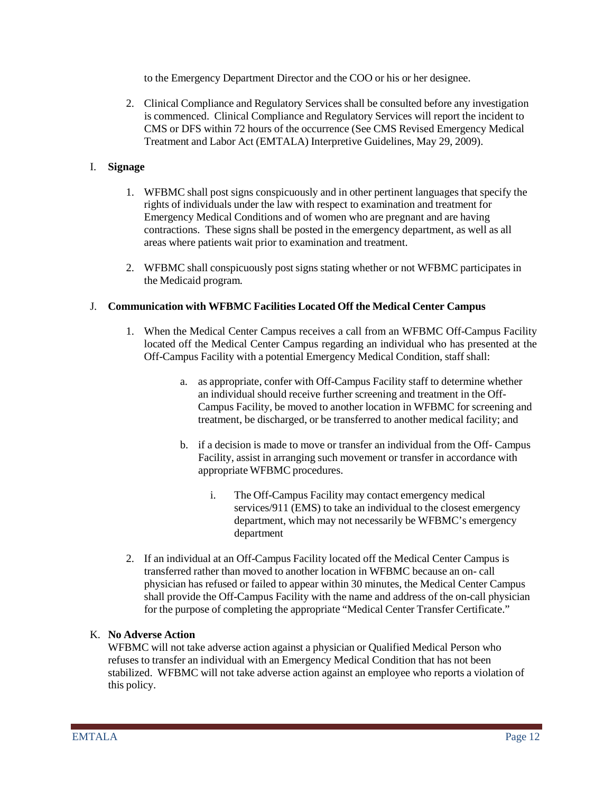to the Emergency Department Director and the COO or his or her designee.

2. Clinical Compliance and Regulatory Services shall be consulted before any investigation is commenced. Clinical Compliance and Regulatory Services will report the incident to CMS or DFS within 72 hours of the occurrence (See CMS Revised Emergency Medical Treatment and Labor Act (EMTALA) Interpretive Guidelines, May 29, 2009).

#### I. **Signage**

- 1. WFBMC shall post signs conspicuously and in other pertinent languages that specify the rights of individuals under the law with respect to examination and treatment for Emergency Medical Conditions and of women who are pregnant and are having contractions. These signs shall be posted in the emergency department, as well as all areas where patients wait prior to examination and treatment.
- 2. WFBMC shall conspicuously post signs stating whether or not WFBMC participates in the Medicaid program.

#### J. **Communication with WFBMC Facilities Located Off the Medical Center Campus**

- 1. When the Medical Center Campus receives a call from an WFBMC Off-Campus Facility located off the Medical Center Campus regarding an individual who has presented at the Off-Campus Facility with a potential Emergency Medical Condition, staff shall:
	- a. as appropriate, confer with Off-Campus Facility staff to determine whether an individual should receive further screening and treatment in the Off-Campus Facility, be moved to another location in WFBMC for screening and treatment, be discharged, or be transferred to another medical facility; and
	- b. if a decision is made to move or transfer an individual from the Off- Campus Facility, assist in arranging such movement or transfer in accordance with appropriate WFBMC procedures.
		- i. The Off-Campus Facility may contact emergency medical services/911 (EMS) to take an individual to the closest emergency department, which may not necessarily be WFBMC's emergency department
- 2. If an individual at an Off-Campus Facility located off the Medical Center Campus is transferred rather than moved to another location in WFBMC because an on- call physician has refused or failed to appear within 30 minutes, the Medical Center Campus shall provide the Off-Campus Facility with the name and address of the on-call physician for the purpose of completing the appropriate "Medical Center Transfer Certificate."

#### K. **No Adverse Action**

WFBMC will not take adverse action against a physician or Qualified Medical Person who refuses to transfer an individual with an Emergency Medical Condition that has not been stabilized. WFBMC will not take adverse action against an employee who reports a violation of this policy.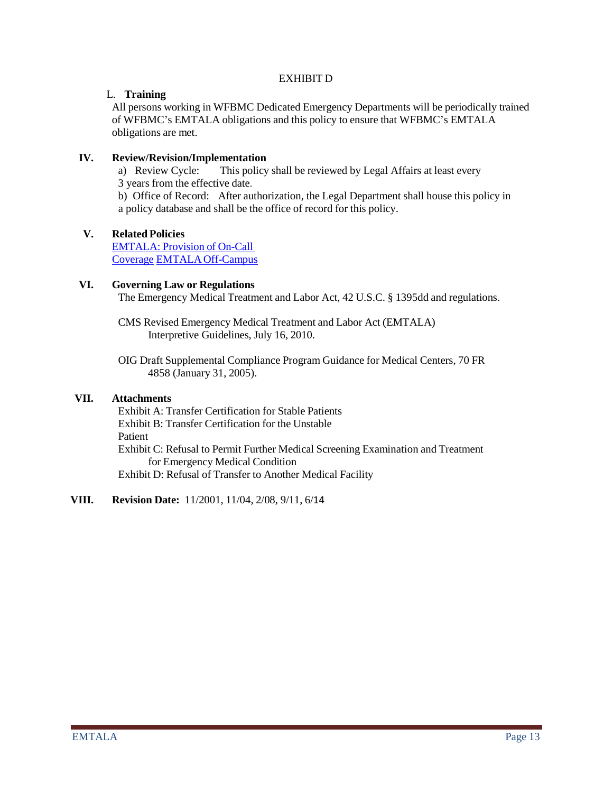#### EXHIBIT D

#### L. **Training**

All persons working in WFBMC Dedicated Emergency Departments will be periodically trained of WFBMC's EMTALA obligations and this policy to ensure that WFBMC's EMTALA obligations are met.

## **IV. Review/Revision/Implementation**

a) Review Cycle: This policy shall be reviewed by Legal Affairs at least every 3 years from the effective date.

b) Office of Record: After authorization, the Legal Department shall house this policy in a policy database and shall be the office of record for this policy.

#### **V. Related Policies**

[EMTALA:](http://ishare.wakehealth.edu/GoverningPolicy/Policies/Provision%20of%20On-Call%20Coverage%2C%20EMTALA.pdf) Provision of On-Call [Coverage](http://ishare.wakehealth.edu/GoverningPolicy/Policies/Provision%20of%20On-Call%20Coverage%2C%20EMTALA.pdf) [EMTALAOff-Campus](http://ishare.wakehealth.edu/GoverningPolicy/Policies/EMTALA%20Off-Campus.pdf)

#### **VI. Governing Law or Regulations**

The Emergency Medical Treatment and Labor Act, 42 U.S.C. § 1395dd and regulations.

CMS Revised Emergency Medical Treatment and Labor Act (EMTALA) Interpretive Guidelines, July 16, 2010.

OIG Draft Supplemental Compliance Program Guidance for Medical Centers, 70 FR 4858 (January 31, 2005).

#### **VII. Attachments**

Exhibit A: Transfer Certification for Stable Patients Exhibit B: Transfer Certification for the Unstable Patient Exhibit C: Refusal to Permit Further Medical Screening Examination and Treatment for Emergency Medical Condition Exhibit D: Refusal of Transfer to Another Medical Facility

#### **VIII. Revision Date:** 11/2001, 11/04, 2/08, 9/11, 6/14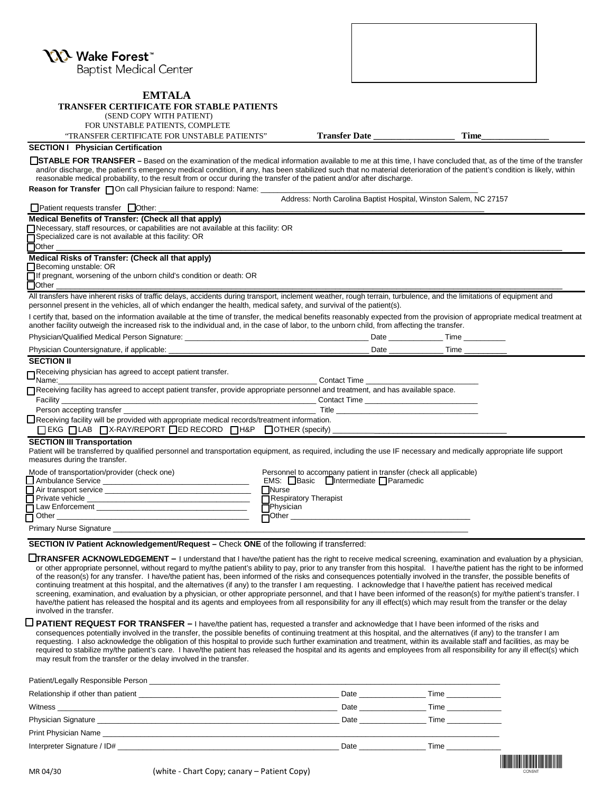| <b>∖`\`</b> Wake Forest™<br><b>Baptist Medical Center</b>                                                                                                                                                                                                                                                                                                                                                                                                                                                                                                                                                                                                                                                                                                                                       |                                                                                                                                                  |                                          |  |
|-------------------------------------------------------------------------------------------------------------------------------------------------------------------------------------------------------------------------------------------------------------------------------------------------------------------------------------------------------------------------------------------------------------------------------------------------------------------------------------------------------------------------------------------------------------------------------------------------------------------------------------------------------------------------------------------------------------------------------------------------------------------------------------------------|--------------------------------------------------------------------------------------------------------------------------------------------------|------------------------------------------|--|
| <b>EMTALA</b><br>TRANSFER CERTIFICATE FOR STABLE PATIENTS<br>(SEND COPY WITH PATIENT)<br>FOR UNSTABLE PATIENTS, COMPLETE<br>"TRANSFER CERTIFICATE FOR UNSTABLE PATIENTS"                                                                                                                                                                                                                                                                                                                                                                                                                                                                                                                                                                                                                        |                                                                                                                                                  | Time                                     |  |
| <b>SECTION I</b> Physician Certification                                                                                                                                                                                                                                                                                                                                                                                                                                                                                                                                                                                                                                                                                                                                                        |                                                                                                                                                  |                                          |  |
| <b>STABLE FOR TRANSFER</b> – Based on the examination of the medical information available to me at this time, I have concluded that, as of the time of the transfer<br>and/or discharge, the patient's emergency medical condition, if any, has been stabilized such that no material deterioration of the patient's condition is likely, within<br>reasonable medical probability, to the result from or occur during the transfer of the patient and/or after discharge.<br>Reason for Transfer   On call Physician failure to respond: Name: ____                                                                                                                                                                                                                                           |                                                                                                                                                  |                                          |  |
|                                                                                                                                                                                                                                                                                                                                                                                                                                                                                                                                                                                                                                                                                                                                                                                                 | Address: North Carolina Baptist Hospital, Winston Salem, NC 27157                                                                                |                                          |  |
|                                                                                                                                                                                                                                                                                                                                                                                                                                                                                                                                                                                                                                                                                                                                                                                                 |                                                                                                                                                  |                                          |  |
| Medical Benefits of Transfer: (Check all that apply)<br>Necessary, staff resources, or capabilities are not available at this facility: OR<br>Specialized care is not available at this facility: OR<br><b>O</b> ther                                                                                                                                                                                                                                                                                                                                                                                                                                                                                                                                                                           |                                                                                                                                                  |                                          |  |
| Medical Risks of Transfer: (Check all that apply)<br>Becoming unstable: OR<br>Tif pregnant, worsening of the unborn child's condition or death: OR<br><b>Other</b><br>All transfers have inherent risks of traffic delays, accidents during transport, inclement weather, rough terrain, turbulence, and the limitations of equipment and<br>personnel present in the vehicles, all of which endanger the health, medical safety, and survival of the patient(s).<br>I certify that, based on the information available at the time of transfer, the medical benefits reasonably expected from the provision of appropriate medical treatment at<br>another facility outweigh the increased risk to the individual and, in the case of labor, to the unborn child, from affecting the transfer. |                                                                                                                                                  |                                          |  |
|                                                                                                                                                                                                                                                                                                                                                                                                                                                                                                                                                                                                                                                                                                                                                                                                 |                                                                                                                                                  | Date _______________________Time _______ |  |
|                                                                                                                                                                                                                                                                                                                                                                                                                                                                                                                                                                                                                                                                                                                                                                                                 |                                                                                                                                                  |                                          |  |
| <b>SECTION II</b>                                                                                                                                                                                                                                                                                                                                                                                                                                                                                                                                                                                                                                                                                                                                                                               |                                                                                                                                                  |                                          |  |
| Receiving physician has agreed to accept patient transfer.<br><u> 2000 - Jan James James Jan James James James James James James James James James James James James James Jam</u><br>Facility $\_$<br>Receiving facility will be provided with appropriate medical records/treatment information.<br>□EKG □LAB □X-RAY/REPORT □ED RECORD □H&P □OTHER (specify) ______________________________                                                                                                                                                                                                                                                                                                                                                                                                   |                                                                                                                                                  |                                          |  |
| <b>SECTION III Transportation</b><br>Patient will be transferred by qualified personnel and transportation equipment, as required, including the use IF necessary and medically appropriate life support<br>measures during the transfer.                                                                                                                                                                                                                                                                                                                                                                                                                                                                                                                                                       |                                                                                                                                                  |                                          |  |
| Mode of transportation/provider (check one)<br>$\Box$ Nurse                                                                                                                                                                                                                                                                                                                                                                                                                                                                                                                                                                                                                                                                                                                                     | Personnel to accompany patient in transfer (check all applicable)<br>EMS: Basic   Intermediate   Paramedic<br>Respiratory Therapist<br>Physician |                                          |  |
| SECTION IV Patient Acknowledgement/Request - Check ONE of the following if transferred:                                                                                                                                                                                                                                                                                                                                                                                                                                                                                                                                                                                                                                                                                                         |                                                                                                                                                  |                                          |  |
| <b>□TRANSFER ACKNOWLEDGEMENT –</b> I understand that I have/the patient has the right to receive medical screening, examination and evaluation by a physician,<br>or other appropriate personnel, without regard to my/the patient's ability to pay, prior to any transfer from this hospital. I have/the patient has the right to be informed<br>of the reason(s) for any transfer. I have/the patient has been informed of the risks and consequences potentially involved in the transfer, the possible benefits of                                                                                                                                                                                                                                                                          |                                                                                                                                                  |                                          |  |

of the reason(s) for any transfer. I have/the patient has, been informed of the risks and consequences potentially involved in the transfer, the possible benefits of continuing treatment at this hospital, and the alternatives (if any) to the transfer I am requesting. I acknowledge that I have/the patient has received medical screening, examination, and evaluation by a physician, or other appropriate personnel, and that I have been informed of the reason(s) for my/the patient's transfer. I have/the patient has released the hospital and its agents and employees from all responsibility for any ill effect(s) which may result from the transfer or the delay involved in the transfer.

**PATIENT REQUEST FOR TRANSFER –** I have/the patient has, requested a transfer and acknowledge that I have been informed of the risks and consequences potentially involved in the transfer, the possible benefits of continuing treatment at this hospital, and the alternatives (if any) to the transfer I am requesting. I also acknowledge the obligation of this hospital to provide such further examination and treatment, within its available staff and facilities, as may be required to stabilize my/the patient's care. I have/the patient has released the hospital and its agents and employees from all responsibility for any ill effect(s) which may result from the transfer or the delay involved in the transfer.

| Patient/Legally Responsible Person                                                                                                                                                                                                   |      |             |  |
|--------------------------------------------------------------------------------------------------------------------------------------------------------------------------------------------------------------------------------------|------|-------------|--|
|                                                                                                                                                                                                                                      | Date | <b>Time</b> |  |
| Witness                                                                                                                                                                                                                              | Date | Time        |  |
| Physician Signature <u>experience and the set of the set of the set of the set of the set of the set of the set of the set of the set of the set of the set of the set of the set of the set of the set of the set of the set of</u> | Date | <b>Time</b> |  |
| Print Physician Name                                                                                                                                                                                                                 |      |             |  |
| Interpreter Signature / ID#                                                                                                                                                                                                          | Date | Time        |  |

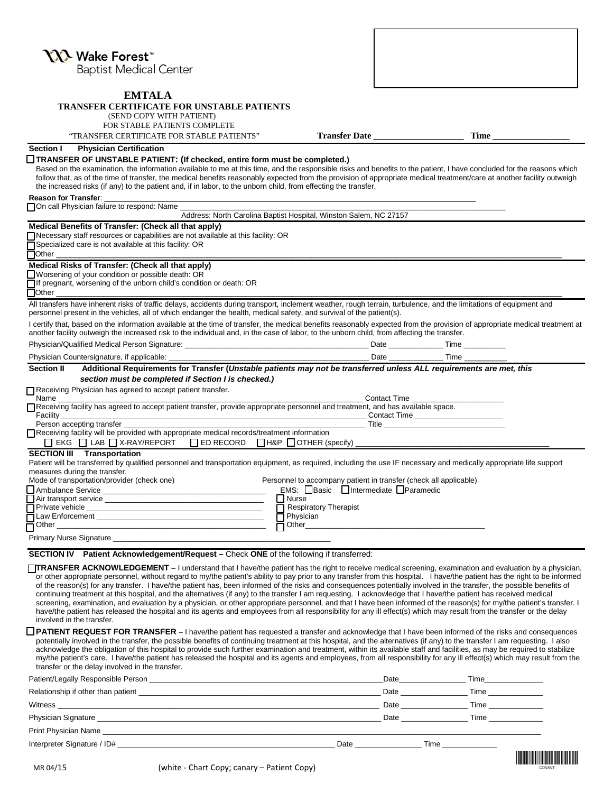| <b>XX Wake Forest</b> "                                                                                                                                                                                                                                                                                                                                  |                                   |                                                                   |  |
|----------------------------------------------------------------------------------------------------------------------------------------------------------------------------------------------------------------------------------------------------------------------------------------------------------------------------------------------------------|-----------------------------------|-------------------------------------------------------------------|--|
|                                                                                                                                                                                                                                                                                                                                                          |                                   |                                                                   |  |
| <b>Baptist Medical Center</b>                                                                                                                                                                                                                                                                                                                            |                                   |                                                                   |  |
|                                                                                                                                                                                                                                                                                                                                                          |                                   |                                                                   |  |
| <b>EMTALA</b>                                                                                                                                                                                                                                                                                                                                            |                                   |                                                                   |  |
| TRANSFER CERTIFICATE FOR UNSTABLE PATIENTS                                                                                                                                                                                                                                                                                                               |                                   |                                                                   |  |
| (SEND COPY WITH PATIENT)                                                                                                                                                                                                                                                                                                                                 |                                   |                                                                   |  |
| FOR STABLE PATIENTS COMPLETE                                                                                                                                                                                                                                                                                                                             |                                   |                                                                   |  |
| "TRANSFER CERTIFICATE FOR STABLE PATIENTS"                                                                                                                                                                                                                                                                                                               |                                   | <b>Time</b><br>Transfer Date                                      |  |
| Section I<br><b>Physician Certification</b>                                                                                                                                                                                                                                                                                                              |                                   |                                                                   |  |
| □TRANSFER OF UNSTABLE PATIENT: (If checked, entire form must be completed.)                                                                                                                                                                                                                                                                              |                                   |                                                                   |  |
| Based on the examination, the information available to me at this time, and the responsible risks and benefits to the patient, I have concluded for the reasons which                                                                                                                                                                                    |                                   |                                                                   |  |
| follow that, as of the time of transfer, the medical benefits reasonably expected from the provision of appropriate medical treatment/care at another facility outweigh                                                                                                                                                                                  |                                   |                                                                   |  |
| the increased risks (if any) to the patient and, if in labor, to the unborn child, from effecting the transfer.                                                                                                                                                                                                                                          |                                   |                                                                   |  |
| <b>Reason for Transfer:</b>                                                                                                                                                                                                                                                                                                                              |                                   |                                                                   |  |
| □ On call Physician failure to respond: Name <sub>□</sub><br>-<br>Address: North Carolina Baptist Hospital, Winston Salem, NC 27157                                                                                                                                                                                                                      |                                   |                                                                   |  |
| Medical Benefits of Transfer: (Check all that apply)                                                                                                                                                                                                                                                                                                     |                                   |                                                                   |  |
| $\Box$ Necessary staff resources or capabilities are not available at this facility: OR                                                                                                                                                                                                                                                                  |                                   |                                                                   |  |
| Specialized care is not available at this facility: OR                                                                                                                                                                                                                                                                                                   |                                   |                                                                   |  |
| $\Box$ Other $\Box$                                                                                                                                                                                                                                                                                                                                      |                                   |                                                                   |  |
| Medical Risks of Transfer: (Check all that apply)                                                                                                                                                                                                                                                                                                        |                                   |                                                                   |  |
| Worsening of your condition or possible death: OR                                                                                                                                                                                                                                                                                                        |                                   |                                                                   |  |
| If pregnant, worsening of the unborn child's condition or death: OR                                                                                                                                                                                                                                                                                      |                                   |                                                                   |  |
| □Other                                                                                                                                                                                                                                                                                                                                                   |                                   |                                                                   |  |
| All transfers have inherent risks of traffic delays, accidents during transport, inclement weather, rough terrain, turbulence, and the limitations of equipment and                                                                                                                                                                                      |                                   |                                                                   |  |
| personnel present in the vehicles, all of which endanger the health, medical safety, and survival of the patient(s).                                                                                                                                                                                                                                     |                                   |                                                                   |  |
| I certify that, based on the information available at the time of transfer, the medical benefits reasonably expected from the provision of appropriate medical treatment at<br>another facility outweigh the increased risk to the individual and, in the case of labor, to the unborn child, from affecting the transfer.                               |                                   |                                                                   |  |
|                                                                                                                                                                                                                                                                                                                                                          |                                   |                                                                   |  |
| Physician/Qualified Medical Person Signature: ___________________________________                                                                                                                                                                                                                                                                        |                                   |                                                                   |  |
| Physician Countersignature, if applicable: ___                                                                                                                                                                                                                                                                                                           |                                   |                                                                   |  |
| <b>Section II</b><br>Additional Requirements for Transfer (Unstable patients may not be transferred unless ALL requirements are met, this                                                                                                                                                                                                                |                                   |                                                                   |  |
| section must be completed if Section I is checked.)                                                                                                                                                                                                                                                                                                      |                                   |                                                                   |  |
| Receiving Physician has agreed to accept patient transfer.                                                                                                                                                                                                                                                                                               |                                   |                                                                   |  |
| Name<br>Treative <u>Treative and the multiple particle</u> contact the multiple space.<br>■ Receiving facility has agreed to accept patient transfer, provide appropriate personnel and treatment, and has available space.                                                                                                                              |                                   | Contact Time                                                      |  |
| Facility _                                                                                                                                                                                                                                                                                                                                               |                                   |                                                                   |  |
| Person accepting transfer                                                                                                                                                                                                                                                                                                                                |                                   |                                                                   |  |
| Receiving facility will be provided with appropriate medical records/treatment information                                                                                                                                                                                                                                                               |                                   |                                                                   |  |
| □ EKG □ LAB □ X-RAY/REPORT □ ED RECORD □ H&P □ OTHER (specify) __                                                                                                                                                                                                                                                                                        |                                   |                                                                   |  |
| <b>SECTION III</b> Transportation                                                                                                                                                                                                                                                                                                                        |                                   |                                                                   |  |
| Patient will be transferred by qualified personnel and transportation equipment, as required, including the use IF necessary and medically appropriate life support                                                                                                                                                                                      |                                   |                                                                   |  |
| measures during the transfer.<br>Mode of transportation/provider (check one)                                                                                                                                                                                                                                                                             |                                   | Personnel to accompany patient in transfer (check all applicable) |  |
|                                                                                                                                                                                                                                                                                                                                                          | EMS: Basic Intermediate Paramedic |                                                                   |  |
| <b>□</b> Nurse                                                                                                                                                                                                                                                                                                                                           |                                   |                                                                   |  |
| Private vehicle                                                                                                                                                                                                                                                                                                                                          | Respiratory Therapist             |                                                                   |  |
| Law Enforcement<br>Physician                                                                                                                                                                                                                                                                                                                             |                                   |                                                                   |  |
|                                                                                                                                                                                                                                                                                                                                                          |                                   |                                                                   |  |
| Primary Nurse Signature Law and the Contract of the Contract of the Contract of the Contract of the Contract of the Contract of the Contract of the Contract of the Contract of the Contract of the Contract of the Contract o                                                                                                                           |                                   |                                                                   |  |
| SECTION IV Patient Acknowledgement/Request - Check ONE of the following if transferred:                                                                                                                                                                                                                                                                  |                                   |                                                                   |  |
| <b>□TRANSFER ACKNOWLEDGEMENT</b> – I understand that I have/the patient has the right to receive medical screening, examination and evaluation by a physician,                                                                                                                                                                                           |                                   |                                                                   |  |
| or other appropriate personnel, without regard to my/the patient's ability to pay prior to any transfer from this hospital. I have/the patient has the right to be informed                                                                                                                                                                              |                                   |                                                                   |  |
| of the reason(s) for any transfer. I have/the patient has, been informed of the risks and consequences potentially involved in the transfer, the possible benefits of                                                                                                                                                                                    |                                   |                                                                   |  |
| continuing treatment at this hospital, and the alternatives (if any) to the transfer I am requesting. I acknowledge that I have/the patient has received medical                                                                                                                                                                                         |                                   |                                                                   |  |
| screening, examination, and evaluation by a physician, or other appropriate personnel, and that I have been informed of the reason(s) for my/the patient's transfer. I                                                                                                                                                                                   |                                   |                                                                   |  |
| have/the patient has released the hospital and its agents and employees from all responsibility for any ill effect(s) which may result from the transfer or the delay                                                                                                                                                                                    |                                   |                                                                   |  |
| involved in the transfer.                                                                                                                                                                                                                                                                                                                                |                                   |                                                                   |  |
| □ PATIENT REQUEST FOR TRANSFER - I have/the patient has requested a transfer and acknowledge that I have been informed of the risks and consequences                                                                                                                                                                                                     |                                   |                                                                   |  |
| potentially involved in the transfer, the possible benefits of continuing treatment at this hospital, and the alternatives (if any) to the transfer I am requesting. I also<br>acknowledge the obligation of this hospital to provide such further examination and treatment, within its available staff and facilities, as may be required to stabilize |                                   |                                                                   |  |
| my/the patient's care. I have/the patient has released the hospital and its agents and employees, from all responsibility for any ill effect(s) which may result from the                                                                                                                                                                                |                                   |                                                                   |  |
| transfer or the delay involved in the transfer.                                                                                                                                                                                                                                                                                                          |                                   |                                                                   |  |

| Patient/Legally Responsible Person | Date         | Time |
|------------------------------------|--------------|------|
| Relationship if other than patient | Date         | Time |
| Witness                            | Date         | Time |
| Physician Signature                | Date         | Time |
| Print Physician Name               |              |      |
| Interpreter Signature / ID#        | Date<br>Time |      |

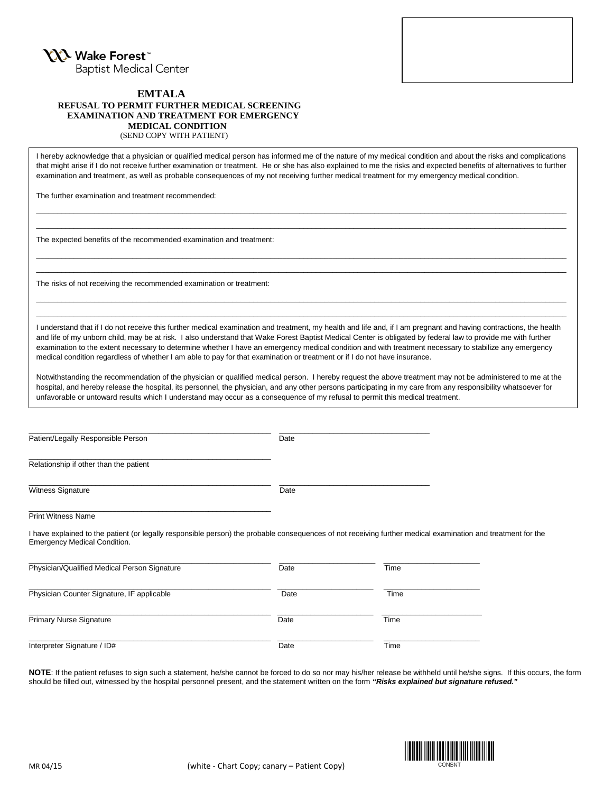#### **YXX Wake Forest**" **Baptist Medical Center**

### **EMTALA REFUSAL TO PERMIT FURTHER MEDICAL SCREENING EXAMINATION AND TREATMENT FOR EMERGENCY MEDICAL CONDITION**  (SEND COPY WITH PATIENT)

I hereby acknowledge that a physician or qualified medical person has informed me of the nature of my medical condition and about the risks and complications that might arise if I do not receive further examination or treatment. He or she has also explained to me the risks and expected benefits of alternatives to further examination and treatment, as well as probable consequences of my not receiving further medical treatment for my emergency medical condition.

\_\_\_\_\_\_\_\_\_\_\_\_\_\_\_\_\_\_\_\_\_\_\_\_\_\_\_\_\_\_\_\_\_\_\_\_\_\_\_\_\_\_\_\_\_\_\_\_\_\_\_\_\_\_\_\_\_\_\_\_\_\_\_\_\_\_\_\_\_\_\_\_\_\_\_\_\_\_\_\_\_\_\_\_\_\_\_\_\_\_\_\_\_\_\_\_\_\_\_\_\_\_\_\_\_\_\_\_\_\_\_\_\_\_\_\_\_\_\_\_\_\_\_\_\_\_\_ \_\_\_\_\_\_\_\_\_\_\_\_\_\_\_\_\_\_\_\_\_\_\_\_\_\_\_\_\_\_\_\_\_\_\_\_\_\_\_\_\_\_\_\_\_\_\_\_\_\_\_\_\_\_\_\_\_\_\_\_\_\_\_\_\_\_\_\_\_\_\_\_\_\_\_\_\_\_\_\_\_\_\_\_\_\_\_\_\_\_\_\_\_\_\_\_\_\_\_\_\_\_\_\_\_\_\_\_\_\_\_\_\_\_\_\_\_\_\_\_\_\_\_\_\_\_\_

\_\_\_\_\_\_\_\_\_\_\_\_\_\_\_\_\_\_\_\_\_\_\_\_\_\_\_\_\_\_\_\_\_\_\_\_\_\_\_\_\_\_\_\_\_\_\_\_\_\_\_\_\_\_\_\_\_\_\_\_\_\_\_\_\_\_\_\_\_\_\_\_\_\_\_\_\_\_\_\_\_\_\_\_\_\_\_\_\_\_\_\_\_\_\_\_\_\_\_\_\_\_\_\_\_\_\_\_\_\_\_\_\_\_\_\_\_\_\_\_\_\_\_\_\_\_\_ \_\_\_\_\_\_\_\_\_\_\_\_\_\_\_\_\_\_\_\_\_\_\_\_\_\_\_\_\_\_\_\_\_\_\_\_\_\_\_\_\_\_\_\_\_\_\_\_\_\_\_\_\_\_\_\_\_\_\_\_\_\_\_\_\_\_\_\_\_\_\_\_\_\_\_\_\_\_\_\_\_\_\_\_\_\_\_\_\_\_\_\_\_\_\_\_\_\_\_\_\_\_\_\_\_\_\_\_\_\_\_\_\_\_\_\_\_\_\_\_\_\_\_\_\_\_\_

\_\_\_\_\_\_\_\_\_\_\_\_\_\_\_\_\_\_\_\_\_\_\_\_\_\_\_\_\_\_\_\_\_\_\_\_\_\_\_\_\_\_\_\_\_\_\_\_\_\_\_\_\_\_\_\_\_\_\_\_\_\_\_\_\_\_\_\_\_\_\_\_\_\_\_\_\_\_\_\_\_\_\_\_\_\_\_\_\_\_\_\_\_\_\_\_\_\_\_\_\_\_\_\_\_\_\_\_\_\_\_\_\_\_\_\_\_\_\_\_\_\_\_\_\_\_\_ \_\_\_\_\_\_\_\_\_\_\_\_\_\_\_\_\_\_\_\_\_\_\_\_\_\_\_\_\_\_\_\_\_\_\_\_\_\_\_\_\_\_\_\_\_\_\_\_\_\_\_\_\_\_\_\_\_\_\_\_\_\_\_\_\_\_\_\_\_\_\_\_\_\_\_\_\_\_\_\_\_\_\_\_\_\_\_\_\_\_\_\_\_\_\_\_\_\_\_\_\_\_\_\_\_\_\_\_\_\_\_\_\_\_\_\_\_\_\_\_\_\_\_\_\_\_\_

The further examination and treatment recommended:

The expected benefits of the recommended examination and treatment:

The risks of not receiving the recommended examination or treatment:

I understand that if I do not receive this further medical examination and treatment, my health and life and, if I am pregnant and having contractions, the health and life of my unborn child, may be at risk. I also understand that Wake Forest Baptist Medical Center is obligated by federal law to provide me with further examination to the extent necessary to determine whether I have an emergency medical condition and with treatment necessary to stabilize any emergency medical condition regardless of whether I am able to pay for that examination or treatment or if I do not have insurance.

Notwithstanding the recommendation of the physician or qualified medical person. I hereby request the above treatment may not be administered to me at the hospital, and hereby release the hospital, its personnel, the physician, and any other persons participating in my care from any responsibility whatsoever for unfavorable or untoward results which I understand may occur as a consequence of my refusal to permit this medical treatment.

\_\_\_\_\_\_\_\_\_\_\_\_\_\_\_\_\_\_\_\_\_\_\_\_\_\_\_\_\_\_\_\_\_\_\_\_\_\_\_\_\_\_\_\_\_\_\_\_\_\_\_\_\_\_\_\_\_\_ \_\_\_\_\_\_\_\_\_\_\_\_\_\_\_\_\_\_\_\_\_\_\_\_\_\_\_\_\_\_\_\_\_\_\_\_ Patient/Legally Responsible Person Date Date \_\_\_\_\_\_\_\_\_\_\_\_\_\_\_\_\_\_\_\_\_\_\_\_\_\_\_\_\_\_\_\_\_\_\_\_\_\_\_\_\_\_\_\_\_\_\_\_\_\_\_\_\_\_\_\_\_\_ Relationship if other than the patient \_\_\_\_\_\_\_\_\_\_\_\_\_\_\_\_\_\_\_\_\_\_\_\_\_\_\_\_\_\_\_\_\_\_\_\_\_\_\_\_\_\_\_\_\_\_\_\_\_\_\_\_\_\_\_\_\_\_ \_\_\_\_\_\_\_\_\_\_\_\_\_\_\_\_\_\_\_\_\_\_\_\_\_\_\_\_\_\_\_\_\_\_\_\_ Witness Signature **Date** \_\_\_\_\_\_\_\_\_\_\_\_\_\_\_\_\_\_\_\_\_\_\_\_\_\_\_\_\_\_\_\_\_\_\_\_\_\_\_\_\_\_\_\_\_\_\_\_\_\_\_\_\_\_\_\_\_\_ Print Witness Name I have explained to the patient (or legally responsible person) the probable consequences of not receiving further medical examination and treatment for the Emergency Medical Condition. \_\_\_\_\_\_\_\_\_\_\_\_\_\_\_\_\_\_\_\_\_\_\_\_\_\_\_\_\_\_\_\_\_\_\_\_\_\_\_\_\_\_\_\_\_\_\_\_\_\_\_\_\_\_\_\_\_\_ \_\_\_\_\_\_\_\_\_\_\_\_\_\_\_\_\_\_\_\_\_\_\_ \_\_\_\_\_\_\_\_\_\_\_\_\_\_\_\_\_\_\_\_\_\_\_ Physician/Qualified Medical Person Signature **National State** Date **Date** Time \_\_\_\_\_\_\_\_\_\_\_\_\_\_\_\_\_\_\_\_\_\_\_\_\_\_\_\_\_\_\_\_\_\_\_\_\_\_\_\_\_\_\_\_\_\_\_\_\_\_\_\_\_\_\_\_\_\_ \_\_\_\_\_\_\_\_\_\_\_\_\_\_\_\_\_\_\_\_\_\_\_ \_\_\_\_\_\_\_\_\_\_\_\_\_\_\_\_\_\_\_\_\_\_\_ Physician Counter Signature, IF applicable **Date** Date Date **Date** Time \_\_\_\_\_\_\_\_\_\_\_\_\_\_\_\_\_\_\_\_\_\_\_\_\_\_\_\_\_\_\_\_\_\_\_\_\_\_\_\_\_\_\_\_\_\_\_\_\_\_\_\_\_\_\_\_\_\_ \_\_\_\_\_\_\_\_\_\_\_\_\_\_\_\_\_\_\_\_\_\_\_ \_\_\_\_\_\_\_\_\_\_\_\_\_\_\_\_\_\_\_\_\_\_\_\_

Interpreter Signature / ID#  $\qquad \qquad$  Date  $\qquad \qquad$  Time

NOTE: If the patient refuses to sign such a statement, he/she cannot be forced to do so nor may his/her release be withheld until he/she signs. If this occurs, the form should be filled out, witnessed by the hospital personnel present, and the statement written on the form *"Risks explained but signature refused."*



\_\_\_\_\_\_\_\_\_\_\_\_\_\_\_\_\_\_\_\_\_\_\_\_\_\_\_\_\_\_\_\_\_\_\_\_\_\_\_\_\_\_\_\_\_\_\_\_\_\_\_\_\_\_\_\_\_\_ \_\_\_\_\_\_\_\_\_\_\_\_\_\_\_\_\_\_\_\_\_\_\_ \_\_\_\_\_\_\_\_\_\_\_\_\_\_\_\_\_\_\_\_\_\_\_

Primary Nurse Signature **Time Contract Contract Contract Contract Contract Contract Contract Contract Contract Contract Contract Contract Contract Contract Contract Contract Contract Contract Contract Contract Contract C**